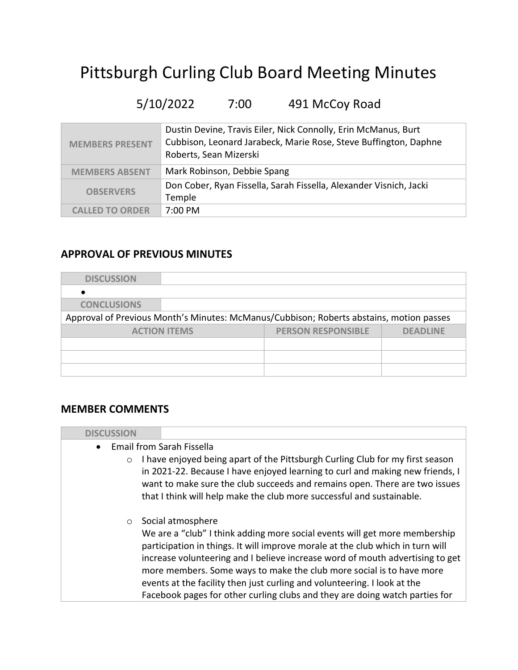# Pittsburgh Curling Club Board Meeting Minutes

# 5/10/2022 7:00 491 McCoy Road

| <b>MEMBERS PRESENT</b> | Dustin Devine, Travis Eiler, Nick Connolly, Erin McManus, Burt<br>Cubbison, Leonard Jarabeck, Marie Rose, Steve Buffington, Daphne<br>Roberts, Sean Mizerski |
|------------------------|--------------------------------------------------------------------------------------------------------------------------------------------------------------|
| <b>MEMBERS ABSENT</b>  | Mark Robinson, Debbie Spang                                                                                                                                  |
| <b>OBSERVERS</b>       | Don Cober, Ryan Fissella, Sarah Fissella, Alexander Visnich, Jacki<br>Temple                                                                                 |
| <b>CALLED TO ORDER</b> | $7:00 \text{ PM}$                                                                                                                                            |

# APPROVAL OF PREVIOUS MINUTES

| <b>DISCUSSION</b>  |                     |                                                                                         |                 |
|--------------------|---------------------|-----------------------------------------------------------------------------------------|-----------------|
|                    |                     |                                                                                         |                 |
| <b>CONCLUSIONS</b> |                     |                                                                                         |                 |
|                    |                     | Approval of Previous Month's Minutes: McManus/Cubbison; Roberts abstains, motion passes |                 |
|                    | <b>ACTION ITEMS</b> | <b>PERSON RESPONSIBLE</b>                                                               | <b>DEADLINE</b> |
|                    |                     |                                                                                         |                 |
|                    |                     |                                                                                         |                 |
|                    |                     |                                                                                         |                 |

### MEMBER COMMENTS

| <b>DISCUSSION</b>                      |                                                                                                                                                                                                                                                                                                                                                                                                                                                                                                       |
|----------------------------------------|-------------------------------------------------------------------------------------------------------------------------------------------------------------------------------------------------------------------------------------------------------------------------------------------------------------------------------------------------------------------------------------------------------------------------------------------------------------------------------------------------------|
| • Email from Sarah Fissella<br>$\circ$ | I have enjoyed being apart of the Pittsburgh Curling Club for my first season<br>in 2021-22. Because I have enjoyed learning to curl and making new friends, I                                                                                                                                                                                                                                                                                                                                        |
|                                        | want to make sure the club succeeds and remains open. There are two issues<br>that I think will help make the club more successful and sustainable.                                                                                                                                                                                                                                                                                                                                                   |
| $\circ$                                | Social atmosphere<br>We are a "club" I think adding more social events will get more membership<br>participation in things. It will improve morale at the club which in turn will<br>increase volunteering and I believe increase word of mouth advertising to get<br>more members. Some ways to make the club more social is to have more<br>events at the facility then just curling and volunteering. I look at the<br>Facebook pages for other curling clubs and they are doing watch parties for |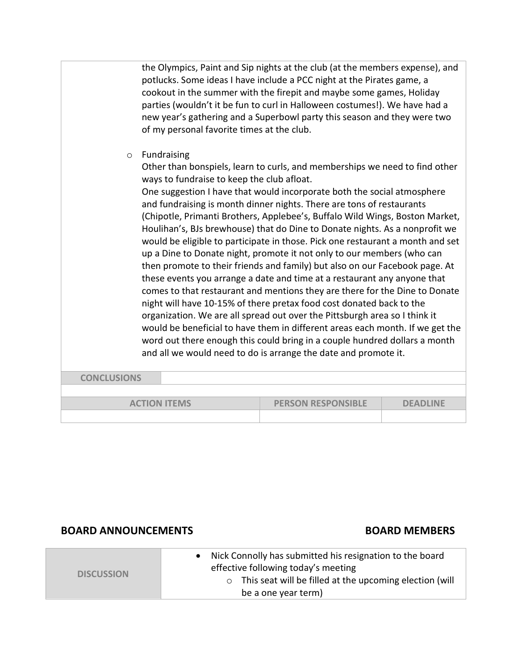|         | the Olympics, Paint and Sip nights at the club (at the members expense), and |
|---------|------------------------------------------------------------------------------|
|         | potlucks. Some ideas I have include a PCC night at the Pirates game, a       |
|         | cookout in the summer with the firepit and maybe some games, Holiday         |
|         | parties (wouldn't it be fun to curl in Halloween costumes!). We have had a   |
|         | new year's gathering and a Superbowl party this season and they were two     |
|         | of my personal favorite times at the club.                                   |
|         |                                                                              |
| $\circ$ | Fundraising                                                                  |
|         | Other than bonspiels, learn to curls, and memberships we need to find other  |

ways to fundraise to keep the club afloat. One suggestion I have that would incorporate both the social atmosphere and fundraising is month dinner nights. There are tons of restaurants (Chipotle, Primanti Brothers, Applebee's, Buffalo Wild Wings, Boston Market, Houlihan's, BJs brewhouse) that do Dine to Donate nights. As a nonprofit we would be eligible to participate in those. Pick one restaurant a month and set up a Dine to Donate night, promote it not only to our members (who can then promote to their friends and family) but also on our Facebook page. At these events you arrange a date and time at a restaurant any anyone that comes to that restaurant and mentions they are there for the Dine to Donate night will have 10-15% of there pretax food cost donated back to the organization. We are all spread out over the Pittsburgh area so I think it would be beneficial to have them in different areas each month. If we get the word out there enough this could bring in a couple hundred dollars a month and all we would need to do is arrange the date and promote it.

| <b>CONCLUSIONS</b>  |                           |                 |
|---------------------|---------------------------|-----------------|
|                     |                           |                 |
| <b>ACTION ITEMS</b> | <b>PERSON RESPONSIBLE</b> | <b>DEADLINE</b> |
|                     |                           |                 |

#### BOARD ANNOUNCEMENTS BOARD MEMBERS

|                   | Nick Connolly has submitted his resignation to the board           |
|-------------------|--------------------------------------------------------------------|
| <b>DISCUSSION</b> | effective following today's meeting                                |
|                   | This seat will be filled at the upcoming election (will<br>$\circ$ |
|                   | be a one year term)                                                |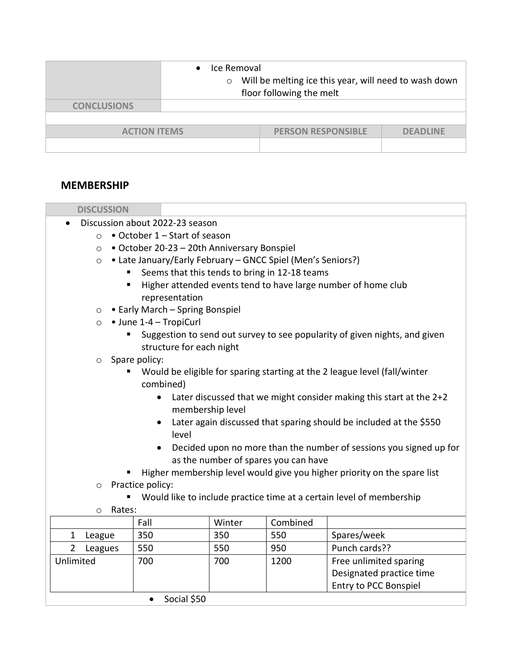|                                                                     | Ice Removal<br>Will be melting ice this year, will need to wash down<br>$\circ$<br>floor following the melt |  |  |
|---------------------------------------------------------------------|-------------------------------------------------------------------------------------------------------------|--|--|
| <b>CONCLUSIONS</b>                                                  |                                                                                                             |  |  |
|                                                                     |                                                                                                             |  |  |
| <b>PERSON RESPONSIBLE</b><br><b>ACTION ITEMS</b><br><b>DEADLINE</b> |                                                                                                             |  |  |
|                                                                     |                                                                                                             |  |  |

## MEMBERSHIP

| <b>DISCUSSION</b>                                                           |                                                                                                            |        |          |                                                                            |  |  |
|-----------------------------------------------------------------------------|------------------------------------------------------------------------------------------------------------|--------|----------|----------------------------------------------------------------------------|--|--|
| Discussion about 2022-23 season                                             |                                                                                                            |        |          |                                                                            |  |  |
| • October 1 - Start of season<br>$\circ$                                    |                                                                                                            |        |          |                                                                            |  |  |
| $\circ$                                                                     | • October 20-23 - 20th Anniversary Bonspiel                                                                |        |          |                                                                            |  |  |
| $\circ$                                                                     | • Late January/Early February - GNCC Spiel (Men's Seniors?)                                                |        |          |                                                                            |  |  |
|                                                                             | Seems that this tends to bring in 12-18 teams                                                              |        |          |                                                                            |  |  |
| $\blacksquare$                                                              |                                                                                                            |        |          | Higher attended events tend to have large number of home club              |  |  |
|                                                                             | representation                                                                                             |        |          |                                                                            |  |  |
| $\circ$                                                                     | • Early March - Spring Bonspiel                                                                            |        |          |                                                                            |  |  |
| $\circ$                                                                     | • June 1-4 – TropiCurl                                                                                     |        |          |                                                                            |  |  |
|                                                                             |                                                                                                            |        |          | Suggestion to send out survey to see popularity of given nights, and given |  |  |
|                                                                             | structure for each night                                                                                   |        |          |                                                                            |  |  |
| $\circ$ Spare policy:<br>٠                                                  |                                                                                                            |        |          |                                                                            |  |  |
|                                                                             | combined)                                                                                                  |        |          | Would be eligible for sparing starting at the 2 league level (fall/winter  |  |  |
|                                                                             |                                                                                                            |        |          |                                                                            |  |  |
|                                                                             | Later discussed that we might consider making this start at the 2+2                                        |        |          |                                                                            |  |  |
| membership level                                                            |                                                                                                            |        |          |                                                                            |  |  |
| Later again discussed that sparing should be included at the \$550<br>level |                                                                                                            |        |          |                                                                            |  |  |
|                                                                             |                                                                                                            |        |          |                                                                            |  |  |
|                                                                             | Decided upon no more than the number of sessions you signed up for<br>as the number of spares you can have |        |          |                                                                            |  |  |
| Higher membership level would give you higher priority on the spare list    |                                                                                                            |        |          |                                                                            |  |  |
| $\circ$                                                                     | Practice policy:                                                                                           |        |          |                                                                            |  |  |
|                                                                             |                                                                                                            |        |          | Would like to include practice time at a certain level of membership       |  |  |
| Rates:<br>$\circ$                                                           |                                                                                                            |        |          |                                                                            |  |  |
|                                                                             | Fall                                                                                                       | Winter | Combined |                                                                            |  |  |
| $\mathbf{1}$<br>League                                                      | 350                                                                                                        | 350    | 550      | Spares/week                                                                |  |  |
| $\overline{2}$<br>Leagues                                                   | 550                                                                                                        | 550    | 950      | Punch cards??                                                              |  |  |
| Unlimited                                                                   | 700                                                                                                        | 700    | 1200     | Free unlimited sparing                                                     |  |  |
|                                                                             |                                                                                                            |        |          | Designated practice time                                                   |  |  |
|                                                                             |                                                                                                            |        |          | Entry to PCC Bonspiel                                                      |  |  |
|                                                                             | Social \$50<br>$\bullet$                                                                                   |        |          |                                                                            |  |  |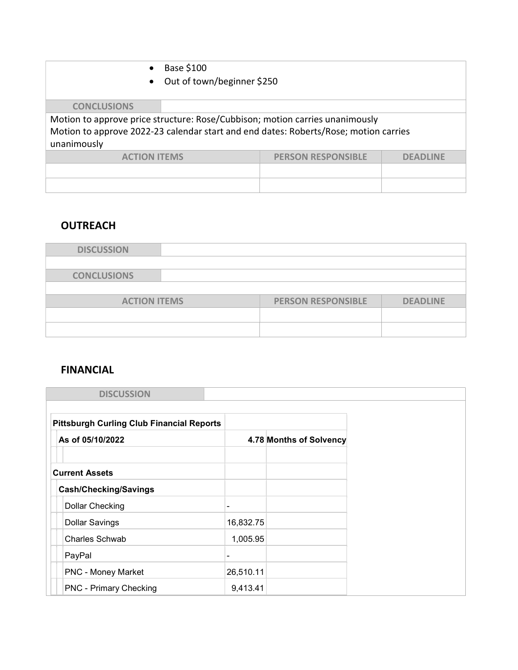|                                                                                      | Base \$100<br>$\bullet$ |                                                                              |          |  |  |
|--------------------------------------------------------------------------------------|-------------------------|------------------------------------------------------------------------------|----------|--|--|
|                                                                                      | $\bullet$               | Out of town/beginner \$250                                                   |          |  |  |
|                                                                                      |                         |                                                                              |          |  |  |
| <b>CONCLUSIONS</b>                                                                   |                         |                                                                              |          |  |  |
|                                                                                      |                         | Motion to approve price structure: Rose/Cubbison; motion carries unanimously |          |  |  |
| Motion to approve 2022-23 calendar start and end dates: Roberts/Rose; motion carries |                         |                                                                              |          |  |  |
| unanimously                                                                          |                         |                                                                              |          |  |  |
|                                                                                      | <b>ACTION ITEMS</b>     | <b>PERSON RESPONSIBLE</b>                                                    | DEADLINE |  |  |
|                                                                                      |                         |                                                                              |          |  |  |
|                                                                                      |                         |                                                                              |          |  |  |

# **OUTREACH**

| <b>DISCUSSION</b>   |                           |                 |
|---------------------|---------------------------|-----------------|
|                     |                           |                 |
| <b>CONCLUSIONS</b>  |                           |                 |
|                     |                           |                 |
| <b>ACTION ITEMS</b> | <b>PERSON RESPONSIBLE</b> | <b>DEADLINE</b> |
|                     |                           |                 |
|                     |                           |                 |
|                     |                           |                 |

# FINANCIAL

| <b>DISCUSSION</b>                                |                |                         |
|--------------------------------------------------|----------------|-------------------------|
|                                                  |                |                         |
| <b>Pittsburgh Curling Club Financial Reports</b> |                |                         |
| As of 05/10/2022                                 |                | 4.78 Months of Solvency |
|                                                  |                |                         |
| <b>Current Assets</b>                            |                |                         |
| <b>Cash/Checking/Savings</b>                     |                |                         |
| <b>Dollar Checking</b>                           | -              |                         |
| <b>Dollar Savings</b>                            | 16,832.75      |                         |
| Charles Schwab                                   | 1,005.95       |                         |
| PayPal                                           | $\blacksquare$ |                         |
| <b>PNC - Money Market</b>                        | 26,510.11      |                         |
| <b>PNC - Primary Checking</b>                    | 9,413.41       |                         |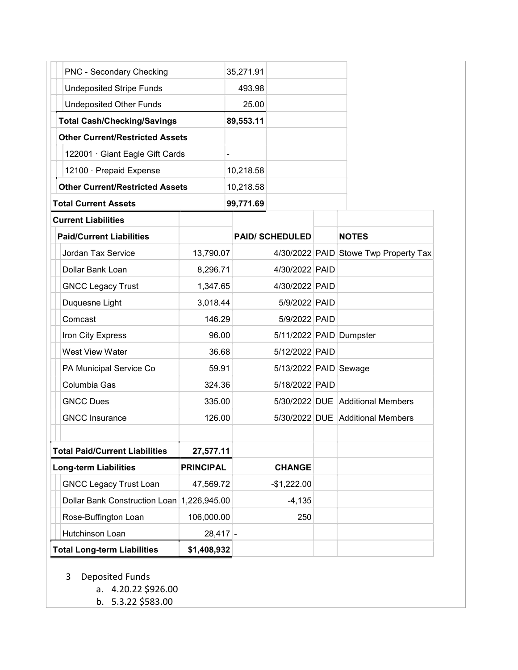| PNC - Secondary Checking               |                  | 35,271.91 |                         |                                       |
|----------------------------------------|------------------|-----------|-------------------------|---------------------------------------|
| <b>Undeposited Stripe Funds</b>        |                  | 493.98    |                         |                                       |
| <b>Undeposited Other Funds</b>         |                  | 25.00     |                         |                                       |
| <b>Total Cash/Checking/Savings</b>     |                  | 89,553.11 |                         |                                       |
| <b>Other Current/Restricted Assets</b> |                  |           |                         |                                       |
| 122001 · Giant Eagle Gift Cards        |                  |           |                         |                                       |
| 12100 · Prepaid Expense                |                  | 10,218.58 |                         |                                       |
| <b>Other Current/Restricted Assets</b> |                  | 10,218.58 |                         |                                       |
| <b>Total Current Assets</b>            |                  | 99,771.69 |                         |                                       |
| <b>Current Liabilities</b>             |                  |           |                         |                                       |
| <b>Paid/Current Liabilities</b>        |                  |           | <b>PAID/ SCHEDULED</b>  | <b>NOTES</b>                          |
| Jordan Tax Service                     | 13,790.07        |           |                         | 4/30/2022 PAID Stowe Twp Property Tax |
| Dollar Bank Loan                       | 8,296.71         |           | 4/30/2022 PAID          |                                       |
| <b>GNCC Legacy Trust</b>               | 1,347.65         |           | 4/30/2022 PAID          |                                       |
| Duquesne Light                         | 3,018.44         |           | 5/9/2022 PAID           |                                       |
| Comcast                                | 146.29           |           | 5/9/2022 PAID           |                                       |
| Iron City Express                      | 96.00            |           | 5/11/2022 PAID Dumpster |                                       |
| West View Water                        | 36.68            |           | 5/12/2022 PAID          |                                       |
| PA Municipal Service Co                | 59.91            |           | 5/13/2022 PAID Sewage   |                                       |
| Columbia Gas                           | 324.36           |           | 5/18/2022 PAID          |                                       |
| <b>GNCC Dues</b>                       | 335.00           |           |                         | 5/30/2022 DUE Additional Members      |
| <b>GNCC Insurance</b>                  | 126.00           |           |                         | 5/30/2022 DUE Additional Members      |
|                                        |                  |           |                         |                                       |
| <b>Total Paid/Current Liabilities</b>  | 27,577.11        |           |                         |                                       |
| <b>Long-term Liabilities</b>           | <b>PRINCIPAL</b> |           | <b>CHANGE</b>           |                                       |
| <b>GNCC Legacy Trust Loan</b>          | 47,569.72        |           | $-$1,222.00$            |                                       |
| Dollar Bank Construction Loan          | 1,226,945.00     |           | $-4,135$                |                                       |
| Rose-Buffington Loan                   | 106,000.00       |           | 250                     |                                       |
| Hutchinson Loan                        | $28,417$ -       |           |                         |                                       |
| <b>Total Long-term Liabilities</b>     | \$1,408,932      |           |                         |                                       |

- 3 Deposited Funds
	- a. 4.20.22 \$926.00
	- b. 5.3.22 \$583.00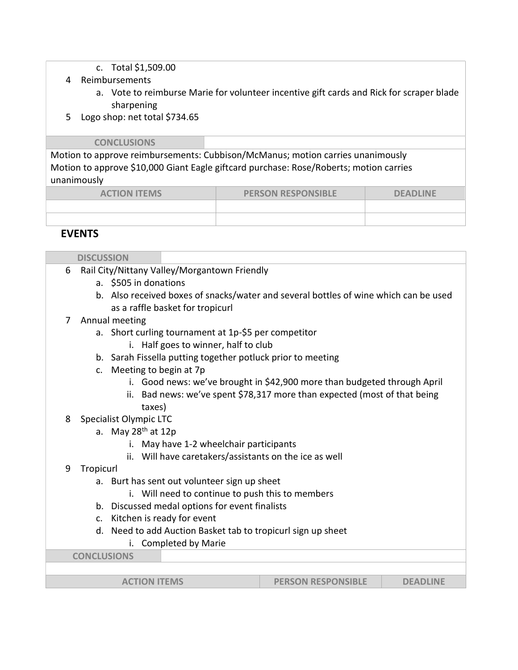- c. Total \$1,509.00
- 4 Reimbursements
	- a. Vote to reimburse Marie for volunteer incentive gift cards and Rick for scraper blade sharpening
- 5 Logo shop: net total \$734.65

#### **CONCLUSIONS**

Motion to approve reimbursements: Cubbison/McManus; motion carries unanimously Motion to approve \$10,000 Giant Eagle giftcard purchase: Rose/Roberts; motion carries unanimously

| <b>ACTION ITEMS</b> | <b>PERSON RESPONSIBLE</b> | <b>DEADLINE</b> |
|---------------------|---------------------------|-----------------|
|                     |                           |                 |
|                     |                           |                 |

### EVENTS

| <b>DISCUSSION</b>  |                                                                 |                                                                                      |  |  |  |  |
|--------------------|-----------------------------------------------------------------|--------------------------------------------------------------------------------------|--|--|--|--|
| 6                  | Rail City/Nittany Valley/Morgantown Friendly                    |                                                                                      |  |  |  |  |
|                    |                                                                 | a. \$505 in donations                                                                |  |  |  |  |
|                    |                                                                 | b. Also received boxes of snacks/water and several bottles of wine which can be used |  |  |  |  |
|                    |                                                                 | as a raffle basket for tropicurl                                                     |  |  |  |  |
| 7                  |                                                                 | Annual meeting                                                                       |  |  |  |  |
|                    |                                                                 | a. Short curling tournament at 1p-\$5 per competitor                                 |  |  |  |  |
|                    |                                                                 | i. Half goes to winner, half to club                                                 |  |  |  |  |
|                    |                                                                 | b. Sarah Fissella putting together potluck prior to meeting                          |  |  |  |  |
|                    | c. Meeting to begin at 7p                                       |                                                                                      |  |  |  |  |
|                    |                                                                 | i. Good news: we've brought in \$42,900 more than budgeted through April             |  |  |  |  |
|                    |                                                                 | ii. Bad news: we've spent \$78,317 more than expected (most of that being            |  |  |  |  |
|                    |                                                                 | taxes)                                                                               |  |  |  |  |
| 8                  | Specialist Olympic LTC                                          |                                                                                      |  |  |  |  |
|                    | a. May 28 <sup>th</sup> at 12p                                  |                                                                                      |  |  |  |  |
|                    |                                                                 | i. May have 1-2 wheelchair participants                                              |  |  |  |  |
|                    |                                                                 | ii. Will have caretakers/assistants on the ice as well                               |  |  |  |  |
| 9                  | Tropicurl                                                       |                                                                                      |  |  |  |  |
|                    | a.                                                              | Burt has sent out volunteer sign up sheet                                            |  |  |  |  |
|                    | i. Will need to continue to push this to members                |                                                                                      |  |  |  |  |
|                    |                                                                 | b. Discussed medal options for event finalists                                       |  |  |  |  |
|                    |                                                                 | c. Kitchen is ready for event                                                        |  |  |  |  |
|                    | Need to add Auction Basket tab to tropicurl sign up sheet<br>d. |                                                                                      |  |  |  |  |
|                    |                                                                 | Completed by Marie                                                                   |  |  |  |  |
| <b>CONCLUSIONS</b> |                                                                 |                                                                                      |  |  |  |  |
|                    |                                                                 |                                                                                      |  |  |  |  |
|                    |                                                                 | <b>ACTION ITEMS</b><br><b>PERSON RESPONSIBLE</b><br><b>DEADLINE</b>                  |  |  |  |  |